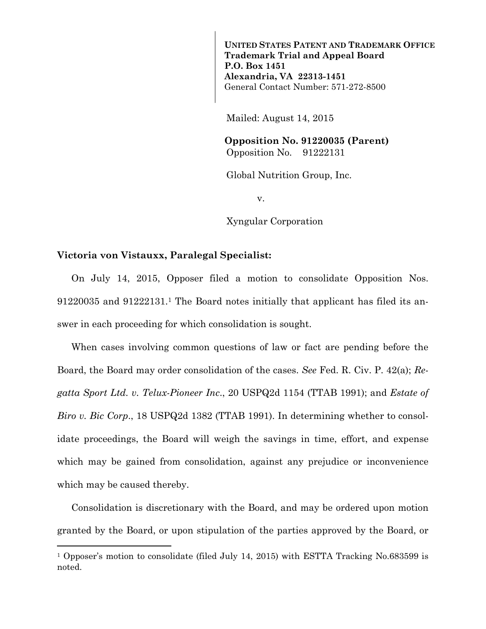**UNITED STATES PATENT AND TRADEMARK OFFICE Trademark Trial and Appeal Board P.O. Box 1451 Alexandria, VA 22313-1451**  General Contact Number: 571-272-8500

Mailed: August 14, 2015

 **Opposition No. 91220035 (Parent)**  Opposition No. 91222131

Global Nutrition Group, Inc.

v.

Xyngular Corporation

## **Victoria von Vistauxx, Paralegal Specialist:**

÷,

On July 14, 2015, Opposer filed a motion to consolidate Opposition Nos. 91220035 and 91222131.1 The Board notes initially that applicant has filed its answer in each proceeding for which consolidation is sought.

When cases involving common questions of law or fact are pending before the Board, the Board may order consolidation of the cases. *See* Fed. R. Civ. P. 42(a); *Regatta Sport Ltd. v. Telux-Pioneer Inc*., 20 USPQ2d 1154 (TTAB 1991); and *Estate of Biro v. Bic Corp*., 18 USPQ2d 1382 (TTAB 1991). In determining whether to consolidate proceedings, the Board will weigh the savings in time, effort, and expense which may be gained from consolidation, against any prejudice or inconvenience which may be caused thereby.

Consolidation is discretionary with the Board, and may be ordered upon motion granted by the Board, or upon stipulation of the parties approved by the Board, or

<sup>&</sup>lt;sup>1</sup> Opposer's motion to consolidate (filed July 14, 2015) with ESTTA Tracking No.683599 is noted.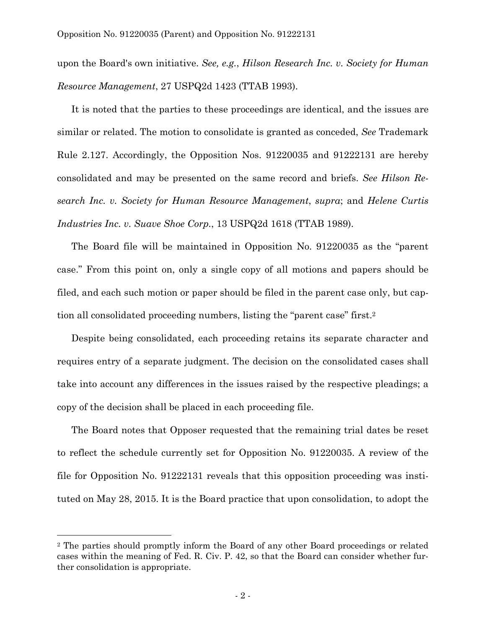upon the Board's own initiative. *See, e.g.*, *Hilson Research Inc. v. Society for Human Resource Management*, 27 USPQ2d 1423 (TTAB 1993).

It is noted that the parties to these proceedings are identical, and the issues are similar or related. The motion to consolidate is granted as conceded, *See* Trademark Rule 2.127. Accordingly, the Opposition Nos. 91220035 and 91222131 are hereby consolidated and may be presented on the same record and briefs. *See Hilson Research Inc. v. Society for Human Resource Management*, *supra*; and *Helene Curtis Industries Inc. v. Suave Shoe Corp.*, 13 USPQ2d 1618 (TTAB 1989).

The Board file will be maintained in Opposition No. 91220035 as the "parent case." From this point on, only a single copy of all motions and papers should be filed, and each such motion or paper should be filed in the parent case only, but caption all consolidated proceeding numbers, listing the "parent case" first.2

Despite being consolidated, each proceeding retains its separate character and requires entry of a separate judgment. The decision on the consolidated cases shall take into account any differences in the issues raised by the respective pleadings; a copy of the decision shall be placed in each proceeding file.

The Board notes that Opposer requested that the remaining trial dates be reset to reflect the schedule currently set for Opposition No. 91220035. A review of the file for Opposition No. 91222131 reveals that this opposition proceeding was instituted on May 28, 2015. It is the Board practice that upon consolidation, to adopt the

÷.

<sup>2</sup> The parties should promptly inform the Board of any other Board proceedings or related cases within the meaning of Fed. R. Civ. P. 42, so that the Board can consider whether further consolidation is appropriate.